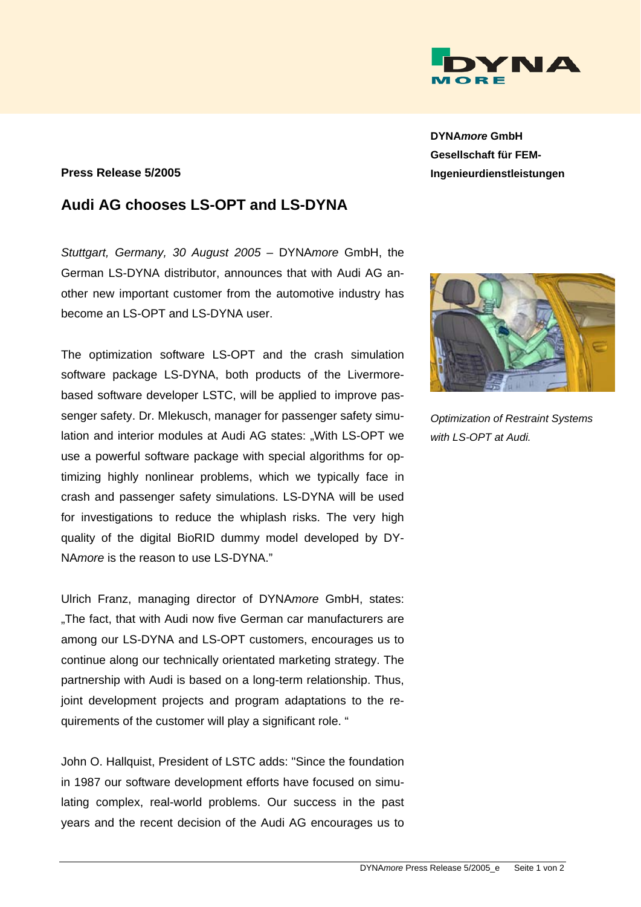

## **Press Release 5/2005**

## **Audi AG chooses LS-OPT and LS-DYNA**

*Stuttgart, Germany, 30 August 2005* – DYNA*more* GmbH, the German LS-DYNA distributor, announces that with Audi AG another new important customer from the automotive industry has become an LS-OPT and LS-DYNA user.

The optimization software LS-OPT and the crash simulation software package LS-DYNA, both products of the Livermorebased software developer LSTC, will be applied to improve passenger safety. Dr. Mlekusch, manager for passenger safety simulation and interior modules at Audi AG states: "With LS-OPT we use a powerful software package with special algorithms for optimizing highly nonlinear problems, which we typically face in crash and passenger safety simulations. LS-DYNA will be used for investigations to reduce the whiplash risks. The very high quality of the digital BioRID dummy model developed by DY-NA*more* is the reason to use LS-DYNA."

Ulrich Franz, managing director of DYNA*more* GmbH, states: .The fact, that with Audi now five German car manufacturers are among our LS-DYNA and LS-OPT customers, encourages us to continue along our technically orientated marketing strategy. The partnership with Audi is based on a long-term relationship. Thus, joint development projects and program adaptations to the requirements of the customer will play a significant role. "

John O. Hallquist, President of LSTC adds: "Since the foundation in 1987 our software development efforts have focused on simulating complex, real-world problems. Our success in the past years and the recent decision of the Audi AG encourages us to

**DYNA***more* **GmbH Gesellschaft für FEM-Ingenieurdienstleistungen** 



*Optimization of Restraint Systems with LS-OPT at Audi.*